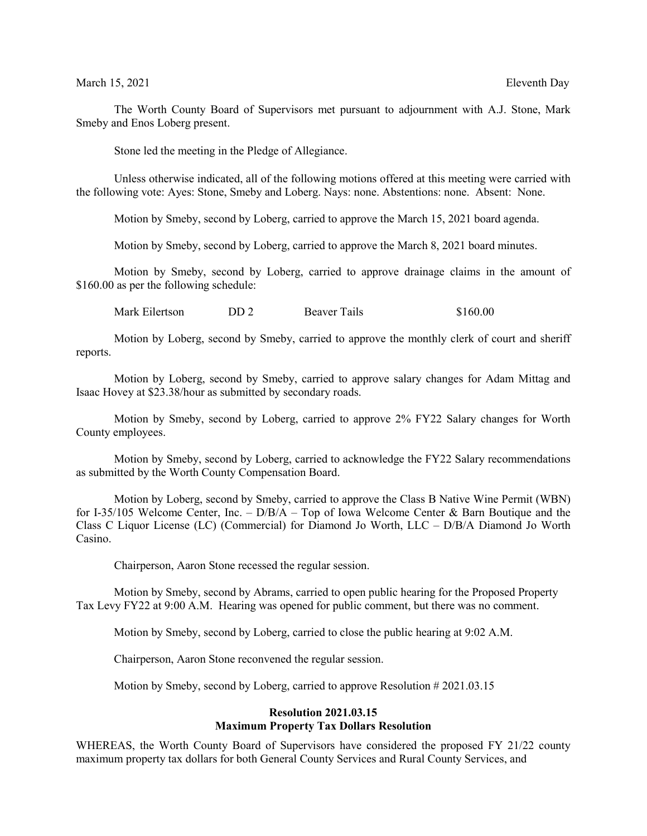March 15, 2021 **Eleventh** Day

The Worth County Board of Supervisors met pursuant to adjournment with A.J. Stone, Mark Smeby and Enos Loberg present.

Stone led the meeting in the Pledge of Allegiance.

Unless otherwise indicated, all of the following motions offered at this meeting were carried with the following vote: Ayes: Stone, Smeby and Loberg. Nays: none. Abstentions: none. Absent: None.

Motion by Smeby, second by Loberg, carried to approve the March 15, 2021 board agenda.

Motion by Smeby, second by Loberg, carried to approve the March 8, 2021 board minutes.

Motion by Smeby, second by Loberg, carried to approve drainage claims in the amount of \$160.00 as per the following schedule:

Mark Eilertson DD 2 Beaver Tails \$160.00

Motion by Loberg, second by Smeby, carried to approve the monthly clerk of court and sheriff reports.

Motion by Loberg, second by Smeby, carried to approve salary changes for Adam Mittag and Isaac Hovey at \$23.38/hour as submitted by secondary roads.

Motion by Smeby, second by Loberg, carried to approve 2% FY22 Salary changes for Worth County employees.

Motion by Smeby, second by Loberg, carried to acknowledge the FY22 Salary recommendations as submitted by the Worth County Compensation Board.

Motion by Loberg, second by Smeby, carried to approve the Class B Native Wine Permit (WBN) for I-35/105 Welcome Center, Inc. – D/B/A – Top of Iowa Welcome Center & Barn Boutique and the Class C Liquor License (LC) (Commercial) for Diamond Jo Worth, LLC – D/B/A Diamond Jo Worth Casino.

Chairperson, Aaron Stone recessed the regular session.

Motion by Smeby, second by Abrams, carried to open public hearing for the Proposed Property Tax Levy FY22 at 9:00 A.M. Hearing was opened for public comment, but there was no comment.

Motion by Smeby, second by Loberg, carried to close the public hearing at 9:02 A.M.

Chairperson, Aaron Stone reconvened the regular session.

Motion by Smeby, second by Loberg, carried to approve Resolution # 2021.03.15

## **Resolution 2021.03.15 Maximum Property Tax Dollars Resolution**

WHEREAS, the Worth County Board of Supervisors have considered the proposed FY 21/22 county maximum property tax dollars for both General County Services and Rural County Services, and